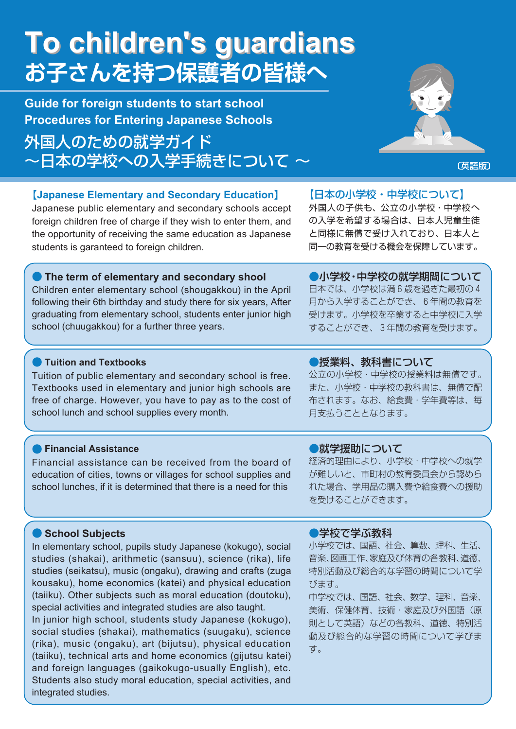# **To children's guardians To children's guardians お子さんを持つ保護者の皆様へ**

**Guide for foreign students to start school Procedures for Entering Japanese Schools**

外国人のための就学ガイド ~日本の学校への入学手続きについて ~ ───────────────────────



## 【**Japanese Elementary and Secondary Education**】

Japanese public elementary and secondary schools accept foreign children free of charge if they wish to enter them, and the opportunity of receiving the same education as Japanese students is garanteed to foreign children.

【日本の小学校・中学校について】

外国人の子供も、公立の小学校・中学校へ の入学を希望する場合は、日本人児童生徒 と同様に無償で受け入れており、日本人と 同一の教育を受ける機会を保障しています。

## **• The term of elementary and secondary shool**

Children enter elementary school (shougakkou) in the April following their 6th birthday and study there for six years, After graduating from elementary school, students enter junior high school (chuugakkou) for a further three years.

●小学校・中学校の就学期間について 日本では、小学校は満 6 歳を過ぎた最初の 4 月から入学することができ、 6 年間の教育を 受けます。小学校を卒業すると中学校に入学 することができ、 3 年間の教育を受けます。

#### ● **Tuition and Textbooks**

Tuition of public elementary and secondary school is free. Textbooks used in elementary and junior high schools are free of charge. However, you have to pay as to the cost of school lunch and school supplies every month.

#### ● **Financial Assistance**

Financial assistance can be received from the board of education of cities, towns or villages for school supplies and school lunches, if it is determined that there is a need for this

### ●授業料、教科書について

公立の小学校・中学校の授業料は無償です。 また、小学校・中学校の教科書は、無償で配 布されます。なお、給食費・学年費等は、毎 月支払うこととなります。

#### ●就学援助について

経済的理由により、小学校・中学校への就学 が難しいと、市町村の教育委員会から認めら れた場合、学用品の購入費や給食費への援助 を受けることができます。

#### ● **School Subjects**

In elementary school, pupils study Japanese (kokugo), social studies (shakai), arithmetic (sansuu), science (rika), life studies (seikatsu), music (ongaku), drawing and crafts (zuga kousaku), home economics (katei) and physical education (taiiku). Other subjects such as moral education (doutoku), special activities and integrated studies are also taught. In junior high school, students study Japanese (kokugo), social studies (shakai), mathematics (suugaku), science (rika), music (ongaku), art (bijutsu), physical education (taiiku), technical arts and home economics (gijutsu katei) and foreign languages (gaikokugo-usually English), etc. Students also study moral education, special activities, and integrated studies.

#### ●学校で学ぶ教科

小学校では、国語、社会、算数、理科、生活、 音楽、図画工作、家庭及び体育の各教科、道徳、 特別活動及び総合的な学習の時間について学 びます。

中学校では、国語、社会、数学、理科、音楽、 美術、保健体育、技術・家庭及び外国語(原 則として英語)などの各教科、道徳、特別活 動及び総合的な学習の時間について学びま す。